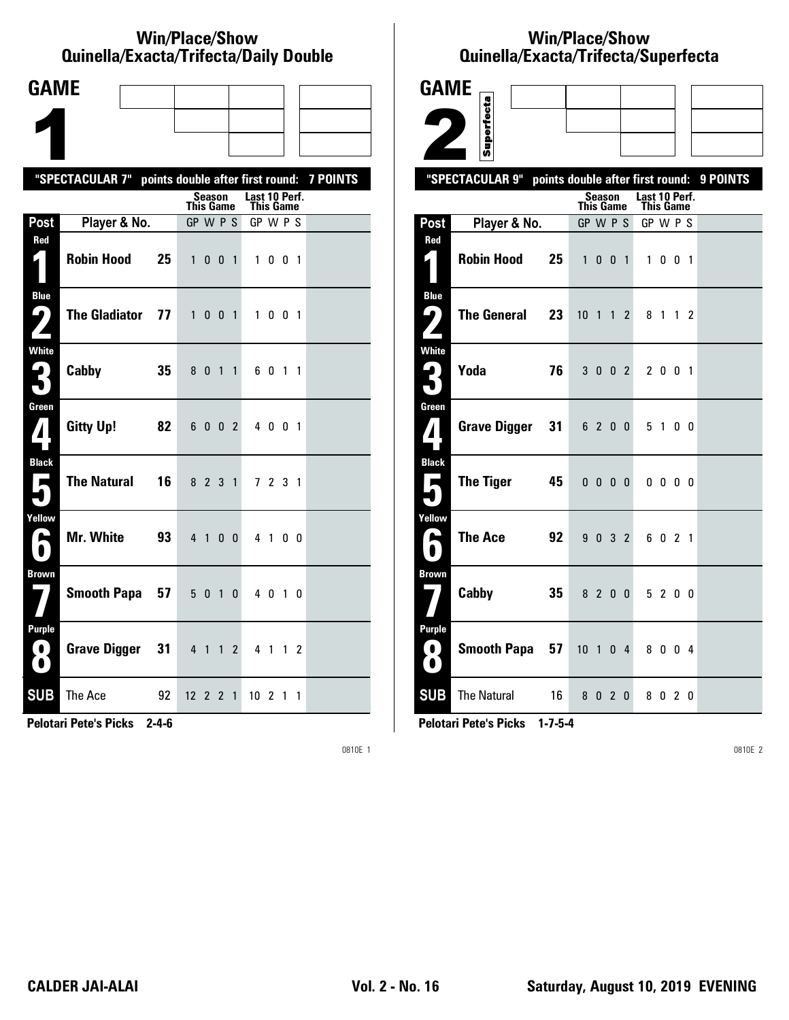### **Win/Place/Show Qui nel la/Exacta/Tri fecta/Daily Dou ble**

| <b>GAME</b>                                  |                                                  |    |              |               |                |                |                            |         |  |                 |
|----------------------------------------------|--------------------------------------------------|----|--------------|---------------|----------------|----------------|----------------------------|---------|--|-----------------|
|                                              |                                                  |    |              |               |                |                |                            |         |  |                 |
|                                              |                                                  |    |              |               |                |                |                            |         |  |                 |
|                                              | "SPECTACULAR 7" points double after first round: |    |              |               |                |                |                            |         |  | <b>7 POINTS</b> |
|                                              |                                                  |    | This Game    | <b>Season</b> |                |                | Last 10 Perf.<br>This Game |         |  |                 |
| Post                                         | Player & No.                                     |    | GP W P S     |               |                |                | GP W P S                   |         |  |                 |
| Red                                          | <b>Robin Hood</b>                                | 25 |              | $1 \t0 \t0$   |                | $\overline{1}$ |                            | 1001    |  |                 |
| <b>Blue</b><br>7<br>$\overline{\phantom{a}}$ | <b>The Gladiator</b>                             | 77 |              | 1 0 0 1       |                |                |                            | 1 0 0 1 |  |                 |
| <b>White</b><br>3                            | Cabby                                            | 35 |              | 8 0 1         |                | $\overline{1}$ |                            | 6 0 1 1 |  |                 |
| Green<br>$\mathbf{Z}$                        | <b>Gitty Up!</b>                                 | 82 |              | 6 0 0 2       |                |                |                            | 4 0 0 1 |  |                 |
| <b>Black</b><br>$\blacksquare$               | <b>The Natural</b>                               | 16 |              | 8 2 3 1       |                |                |                            | 7 2 3 1 |  |                 |
| Yellow<br>$\blacktriangleright$              | Mr. White                                        | 93 |              | $4 \quad 1$   | 0 <sub>0</sub> |                |                            | 4 1 0 0 |  |                 |
| <b>Brown</b>                                 | Smooth Papa 57                                   |    |              | 5 0 1         |                | $\mathbf{0}$   |                            | 4 0 1 0 |  |                 |
| <b>Purple</b><br>0)<br>$\bullet$             | <b>Grave Digger</b>                              | 31 |              | 4 1 1         |                | $\overline{2}$ |                            | 4 1 1 2 |  |                 |
| <b>SUB</b>                                   | The Ace                                          | 92 | $12 \t2 \t2$ |               |                | $\overline{1}$ | $10$ 2 1 1                 |         |  |                 |

**Pelotari Pete's Picks 2-4-6**

0810E 1

# **Win/Place/Show Qui nel la/Exacta/Tri fecta/Super fecta**

| <b>GAME</b>                        |                                                     |    |                  |                          |                |                            |                          |                |          |
|------------------------------------|-----------------------------------------------------|----|------------------|--------------------------|----------------|----------------------------|--------------------------|----------------|----------|
|                                    |                                                     |    |                  |                          |                |                            |                          |                |          |
|                                    | Superfecta                                          |    |                  |                          |                |                            |                          |                |          |
|                                    | "SPECTACULAR 9"<br>points double after first round: |    |                  |                          |                |                            |                          |                | 9 POINTS |
|                                    |                                                     |    | <b>This Game</b> | <b>Season</b>            |                | Last 10 Perf.<br>This Game |                          |                |          |
| Post                               | Player & No.                                        |    | GP W P S         |                          |                | GP W P S                   |                          |                |          |
| Red                                |                                                     |    |                  |                          |                |                            |                          |                |          |
| 4.                                 | <b>Robin Hood</b><br>25                             |    | $\mathbf{1}$     | $0 \t0 \t1$              |                | $\mathbf{1}$               | $0\quad0\quad1$          |                |          |
| <b>Blue</b>                        | <b>The General</b>                                  |    |                  |                          |                |                            |                          |                |          |
| ر ما                               | 23                                                  |    | $10$ 1 1 2       |                          |                | 81                         |                          | 1 <sub>2</sub> |          |
| <b>White</b>                       |                                                     |    |                  |                          |                |                            |                          |                |          |
| $\mathbf{\mathsf{L}}_{\mathsf{L}}$ | Yoda<br>76                                          |    |                  | 3 0 0 2                  |                |                            | 2 0 0 1                  |                |          |
| Green                              |                                                     |    |                  |                          |                |                            |                          |                |          |
| 7                                  | <b>Grave Digger</b><br>31                           |    |                  | 6 2 0 0                  |                |                            | 5 1 0 0                  |                |          |
| <b>Black</b>                       |                                                     |    |                  |                          |                |                            |                          |                |          |
| Е                                  | <b>The Tiger</b><br>45                              |    |                  | $0\quad 0\quad 0\quad 0$ |                |                            | $0\quad 0\quad 0\quad 0$ |                |          |
| Yellow                             |                                                     |    |                  |                          |                |                            |                          |                |          |
| œ                                  | <b>The Ace</b>                                      | 92 |                  | 9 0 3 2                  |                |                            | 6 0 2 1                  |                |          |
| <b>Brown</b>                       |                                                     |    |                  |                          |                |                            |                          |                |          |
|                                    | Cabby<br>35                                         |    |                  | 8 2 0 0                  |                |                            | 5 2 0 0                  |                |          |
| Purple                             |                                                     |    |                  |                          |                |                            |                          |                |          |
| 0<br>$\bullet$                     | <b>Smooth Papa</b><br>57                            |    | 10               | $\overline{1}$           | 0 <sub>4</sub> |                            | 8004                     |                |          |
| <b>SUB</b>                         | <b>The Natural</b>                                  | 16 |                  | 8020                     |                |                            | 8020                     |                |          |

**Pelotari Pete's Picks 1-7-5-4**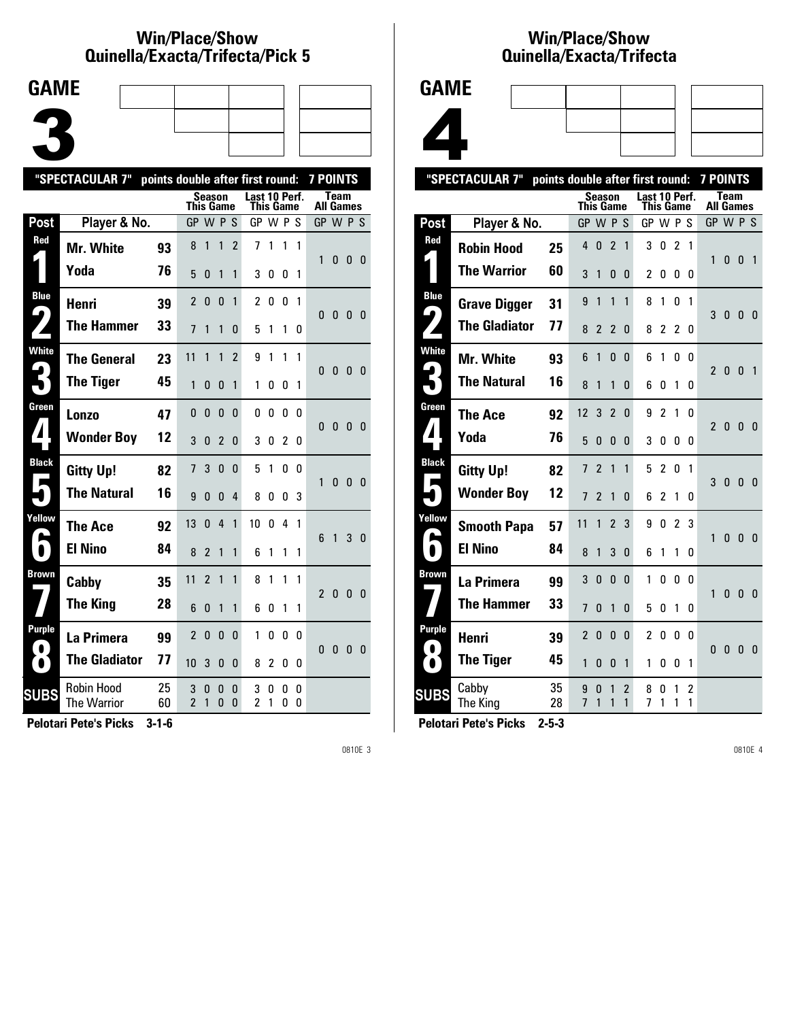### **Win/Place/Show Qui nel la/Exacta/Tri fecta/Pick 5**



| "SPECTACULAR 7"     |                                  | points double after first round: |                     |                |               |                |                            |        |        | <b>7 POINTS</b> |                  |              |                |                |
|---------------------|----------------------------------|----------------------------------|---------------------|----------------|---------------|----------------|----------------------------|--------|--------|-----------------|------------------|--------------|----------------|----------------|
|                     |                                  |                                  | This Game           | <b>Season</b>  |               |                | Last 10 Perf.<br>This Game |        |        |                 | <b>All Games</b> | <b>Team</b>  |                |                |
| Post                | Player & No.                     |                                  | GP W P S            |                |               |                | GP W P S                   |        |        |                 | GP W P S         |              |                |                |
| Red                 | <b>Mr. White</b>                 | 93                               | 8                   | 1              | 1             | $\overline{2}$ | 7                          | 1      | 1      | 1               | 1                | 0            | $\mathbf{0}$   | - 0            |
|                     | Yoda                             | 76                               | 5                   | 0              | 1             | 1              | 3                          | 0      | 0      | 1               |                  |              |                |                |
| <b>Blue</b>         | Henri                            | 39                               | $\overline{2}$      | $\mathbf{0}$   | $\mathbf{0}$  | 1              | 2                          | 0      | 0      | 1               |                  |              |                |                |
| $\blacklozenge$     | <b>The Hammer</b>                | 33                               | 7                   | 1              | 1             | 0              | 5                          | 1      | 1      | 0               | 0                | 0            | 0 <sub>0</sub> |                |
| <b>White</b>        | <b>The General</b>               | 23                               | 11                  | 1              | 1             | $\overline{2}$ | 9                          | 1      | 1      | 1               | 0                | $\bf{0}$     | 0              | - 0            |
|                     | <b>The Tiger</b>                 | 45                               | 1                   | 0              | 0             | 1              | 1                          | O      | 0      | 1               |                  |              |                |                |
| Green               | Lonzo                            | 47                               | 0                   | $\mathbf{0}$   | $\mathbf{0}$  | 0              | 0                          | 0      | 0      | 0               | 0                | $\mathbf{0}$ | $\bf{0}$       | - 0            |
|                     | <b>Wonder Boy</b>                | 12                               | 3                   | 0              | 2             | 0              | 3                          | O      | 2      | 0               |                  |              |                |                |
| <b>Black</b>        | <b>Gitty Up!</b>                 | 82                               | $\overline{1}$      | 3              | $\mathbf{0}$  | 0              | 5                          | 1      | 0      | 0               | 1                | $\mathbf{0}$ | $\mathbf{0}$   | $\overline{0}$ |
|                     | <b>The Natural</b>               | 16                               | 9                   | 0              | 0             | 4              | 8                          | O      | 0      | 3               |                  |              |                |                |
| Yellow              | The Ace                          | 92                               | 13                  | $\Omega$       | 4             | 1              | 10                         | 0      | 4      | 1               | 6                | $\mathbf{1}$ | 3              | 0              |
| $\blacksquare$      | <b>El Nino</b>                   | 84                               | 8                   | $\overline{2}$ | 1             | 1              | 6                          | 1      | 1      | 1               |                  |              |                |                |
| <b>Brown</b>        | Cabby                            | 35                               | 11                  | $\overline{2}$ | 1             | 1              | 8                          | 1      | 1      | 1               | 2                | $\mathbf{0}$ | $\mathbf{0}$   | - 0            |
|                     | <b>The King</b>                  | 28                               | 6                   | 0              | 1             | 1              | 6                          | O      | 1      | 1               |                  |              |                |                |
| Purple<br>$\bullet$ | La Primera                       | 99                               | $\overline{2}$      | $\mathbf{0}$   | 0             | 0              | 1                          | 0      | 0      | 0               | 0                | $\bf{0}$     | 0 <sub>0</sub> |                |
| $\bullet$           | <b>The Gladiator</b>             | 77                               | 10                  | 3              | 0             | 0              | 8                          | 2      | 0      | 0               |                  |              |                |                |
| <b>SUBS</b>         | <b>Robin Hood</b><br>The Warrior | 25<br>60                         | 3<br>$\overline{2}$ | 0<br>1         | 0<br>$\Omega$ | 0<br>0         | 3<br>2                     | 0<br>1 | 0<br>0 | 0<br>0          |                  |              |                |                |
|                     |                                  |                                  |                     |                |               |                |                            |        |        |                 |                  |              |                |                |

**Pelotari Pete's Picks 3-1-6**

0810E 3

## **Win/Place/Show Qui nel la/Exacta/Tri fecta**



|                   | "SPECTACULAR 7"      | points double after first round: |           |                |                |                                |                |                |                |          | <b>7 POINTS</b>  |              |              |                |
|-------------------|----------------------|----------------------------------|-----------|----------------|----------------|--------------------------------|----------------|----------------|----------------|----------|------------------|--------------|--------------|----------------|
|                   |                      |                                  | This Game | Season         |                |                                | Last 10 Perf.  | This Game      |                |          | <b>All Games</b> | <b>Team</b>  |              |                |
| Post              | Player & No.         |                                  | GP W P S  |                |                |                                | GP W P S       |                |                |          | GP W P S         |              |              |                |
| Red               | <b>Robin Hood</b>    | 25                               | 4         | $\mathbf{0}$   | $\overline{2}$ | 1                              | 3              | 0              | $\overline{2}$ | 1        | 1                | 0            | $\mathbf{0}$ | $\overline{1}$ |
|                   | <b>The Warrior</b>   | 60                               | 3         | 1              | 0              | 0                              | $\overline{2}$ | 0              | 0              | 0        |                  |              |              |                |
| <b>Blue</b><br>9  | <b>Grave Digger</b>  | 31                               | 9         | 1              | 1              | 1                              | 8              | 1              | 0              | 1        | 3                | $\mathbf{0}$ | $\bf{0}$     | - 0            |
|                   | <b>The Gladiator</b> | 77                               | 8         | 2              | 2              | 0                              | 8              | 2              | 2              | 0        |                  |              |              |                |
| <b>White</b>      | Mr. White            | 93                               | 6         | 1              | 0              | $\Omega$                       | 6              | 1              | 0              | 0        | $\overline{2}$   | 0            | 0            | $\overline{1}$ |
|                   | <b>The Natural</b>   | 16                               | 8         | 1              | 1              | 0                              | 6              | 0              | 1              | 0        |                  |              |              |                |
| Green             | <b>The Ace</b>       | 92                               | 12        | 3              | $\overline{2}$ | 0                              | 9              | 2              | 1              | n        | $\mathfrak z$    | 0            | $\bf{0}$     | $\overline{0}$ |
| $\blacktriangle$  | Yoda                 | 76                               | 5         | 0              | 0              | 0                              | 3              | 0              | 0              | $\Omega$ |                  |              |              |                |
| <b>Black</b><br>Е | <b>Gitty Up!</b>     | 82                               | 7         | 2              | 1              | 1                              | 5              | $\overline{c}$ | 0              | 1        | 3                | $\bf{0}$     | $\mathbf{0}$ | $\mathbf{0}$   |
|                   | <b>Wonder Boy</b>    | 12                               | 7         | $\overline{2}$ | 1              | 0                              | 6              | 2              | 1              | 0        |                  |              |              |                |
| Yellow            | <b>Smooth Papa</b>   | 57                               | 11        | 1              | $\overline{2}$ | 3                              | 9              | 0              | $\overline{c}$ | 3        | 1                | $\mathbf{0}$ | $\mathbf{0}$ | 0              |
|                   | <b>El Nino</b>       | 84                               | 8         | 1              | 3              | 0                              | 6              | 1              | 1              | 0        |                  |              |              |                |
| Brown             | La Primera           | 99                               | 3         | $\mathbf{0}$   | $\mathbf{0}$   | 0                              | 1              | 0              | 0              | $\Omega$ | 1                | 0            | 0            | 0              |
|                   | <b>The Hammer</b>    | 33                               | 7         | 0              | 1              | 0                              | 5              | 0              | 1              | 0        |                  |              |              |                |
| <b>Purple</b>     | Henri                | 39                               | 2         | $\mathbf{0}$   | 0              | 0                              | 2              | 0              | 0              | 0        | 0                | $\bf{0}$     | $\mathbf{0}$ | - 0            |
| $\bullet$         | <b>The Tiger</b>     | 45                               | 1         | 0              | $\mathbf{0}$   | 1                              | 1              | 0              | 0              | 1        |                  |              |              |                |
| <b>SUBS</b>       | Cabby<br>The King    | 35<br>28                         | 9<br>7    | $\Omega$<br>1  | 1<br>1         | $\overline{2}$<br>$\mathbf{1}$ | 8<br>7         | 0<br>1         | 1<br>1         | 2<br>1   |                  |              |              |                |
|                   |                      |                                  |           |                |                |                                |                |                |                |          |                  |              |              |                |

**Pelotari Pete's Picks 2-5-3**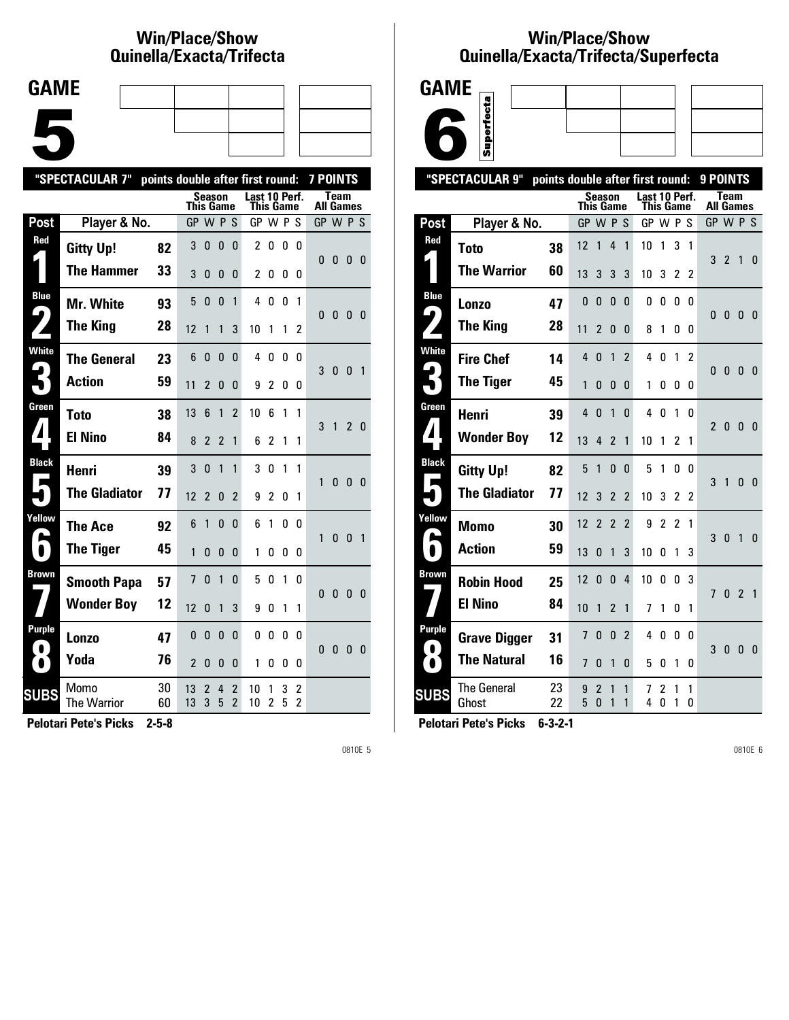## **Win/Place/Show Qui nel la/Exacta/Tri fecta**

| <b>GAME</b> |  |  |
|-------------|--|--|
|             |  |  |
|             |  |  |
|             |  |  |
|             |  |  |
|             |  |  |
|             |  |  |
|             |  |  |

|                       | "SPECTACULAR 7"      | points double after first round: |                |                |                |                                            |                            |                     |        |                     | <b>7 POINTS</b>  |              |                |                         |
|-----------------------|----------------------|----------------------------------|----------------|----------------|----------------|--------------------------------------------|----------------------------|---------------------|--------|---------------------|------------------|--------------|----------------|-------------------------|
|                       |                      |                                  | This Game      | <b>Season</b>  |                |                                            | Last 10 Perf.<br>This Game |                     |        |                     | <b>All Games</b> | Team         |                |                         |
| Post                  | Player & No.         |                                  | GP W P S       |                |                |                                            | GP W P S                   |                     |        |                     | GP W P S         |              |                |                         |
| Red                   | <b>Gitty Up!</b>     | 82                               | 3              | 0              | $\bf{0}$       | 0                                          | $\overline{\mathbf{c}}$    | 0                   | 0      | 0                   | 0                |              |                |                         |
|                       | <b>The Hammer</b>    | 33                               | 3              | 0              | 0              | 0                                          | 2                          | 0                   | 0      | 0                   |                  | 0            | 0              | - 0                     |
| <b>Blue</b>           | Mr. White            | 93                               | 5              | 0              | 0              | 1                                          | 4                          | 0                   | 0      | 1                   | 0                | $\mathbf{0}$ | 0 <sub>0</sub> |                         |
| $\blacktriangleright$ | <b>The King</b>      | 28                               | 12             | 1              | 1              | 3                                          | 10                         | 1                   | 1      | 2                   |                  |              |                |                         |
| <b>White</b>          | <b>The General</b>   | 23                               | 6              | 0              | 0              | 0                                          | 4                          | 0                   | 0      | 0                   | 3                | 0            | 0              | $\overline{1}$          |
|                       | <b>Action</b>        | 59                               | 11             | 2              | $\Omega$       | 0                                          | 9                          | $\overline{2}$      | 0      | 0                   |                  |              |                |                         |
| Green                 | <b>Toto</b>          | 38                               | 13             | 6              | 1              | $\overline{\phantom{a}}$                   | 10                         | 6                   | 1      | 1                   | 3                | $\mathbf{1}$ | 2 <sub>0</sub> |                         |
|                       | <b>El Nino</b>       | 84                               | 8              | 2              | $\overline{2}$ | 1                                          | 6                          | $\overline{c}$      | 1      | 1                   |                  |              |                |                         |
| <b>Black</b>          | Henri                | 39                               | 3              | 0              | 1              | 1                                          | 3                          | 0                   | 1      | 1                   | 1                | 0            | $\mathbf{0}$   | 0                       |
|                       | <b>The Gladiator</b> | 77                               | 12             | $\overline{2}$ | 0              | 2                                          | 9                          | $\overline{2}$      | 0      | 1                   |                  |              |                |                         |
| Yellow                | The Ace              | 92                               | 6              | 1              | 0              | 0                                          | 6                          | 1                   | 0      | 0                   | 1                | $\mathbf{0}$ | $\mathbf{0}$   | $\overline{1}$          |
| $\bullet$             | <b>The Tiger</b>     | 45                               | 1              | 0              | 0              | 0                                          | 1                          | 0                   | 0      | 0                   |                  |              |                |                         |
| <b>Brown</b>          | <b>Smooth Papa</b>   | 57                               | $\overline{1}$ | $\Omega$       | $\mathbf{1}$   | 0                                          | 5                          | 0                   | 1      | 0                   | $\Omega$         | $\mathbf{0}$ | $\mathbf{0}$   | $\overline{\mathbf{0}}$ |
|                       | <b>Wonder Boy</b>    | 12                               | 12             | $\Omega$       | 1              | 3                                          | 9                          | 0                   | 1      | 1                   |                  |              |                |                         |
| Purple                | Lonzo                | 47                               | $\mathbf{0}$   | $\mathbf{0}$   | $\mathbf{0}$   | 0                                          | 0                          | 0                   | 0      | 0                   | 0                | 0            | $\mathbf{0}$   | $\overline{\mathbf{0}}$ |
| $\bullet$             | Yoda                 | 76                               | $\overline{2}$ | 0              | 0              | 0                                          | 1                          | 0                   | 0      | 0                   |                  |              |                |                         |
| <b>SUBS</b>           | Momo<br>The Warrior  | 30<br>60                         | 13<br>13       | 2<br>3         | 4<br>5         | $\overline{2}$<br>$\overline{\phantom{a}}$ | 10<br>10                   | 1<br>$\overline{c}$ | 3<br>5 | 2<br>$\overline{c}$ |                  |              |                |                         |
|                       |                      |                                  |                |                |                |                                            |                            |                     |        |                     |                  |              |                |                         |

**Pelotari Pete's Picks 2-5-8**

0810E 5

### **Win/Place/Show Qui nel la/Exacta/Tri fecta/Super fecta**



|                            | "SPECTACULAR 9"      | points double after first round: |           |                     |                          |                          |               |           |                |              | 9 POINTS       |                |                |                |
|----------------------------|----------------------|----------------------------------|-----------|---------------------|--------------------------|--------------------------|---------------|-----------|----------------|--------------|----------------|----------------|----------------|----------------|
|                            |                      |                                  | This Game | Season              |                          |                          | Last 10 Perf. | This Game |                |              | All Games      | Team           |                |                |
| Post                       | Player & No.         |                                  | GP W P S  |                     |                          |                          | GP W P S      |           |                |              | GP W P S       |                |                |                |
| Red                        | Toto                 | 38                               | 12        | 1                   | 4                        | $\mathbf{1}$             | 10            | 1         | 3              | 1            |                |                |                |                |
|                            | <b>The Warrior</b>   | 60                               | 13        | 3                   | 3                        | 3                        | 10            | 3         | 2              | 2            | 3              | $\overline{2}$ | $\mathbf{1}$   | 0              |
| <b>Blue</b>                | Lonzo                | 47                               | 0         | 0                   | 0                        | 0                        | 0             | 0         | 0              | 0            |                |                |                |                |
| ┕                          | <b>The King</b>      | 28                               | 11        | $\overline{2}$      | 0                        | 0                        | 8             | 1         | 0              | 0            | 0              | $\mathbf{0}$   | $\mathbf{0}$   | -0             |
| <b>White</b><br>ما         | <b>Fire Chef</b>     | 14                               | 4         | 0                   | 1                        | $\overline{2}$           | 4             | 0         | 1              | 2            | 0              | $\mathbf{0}$   | 0              |                |
|                            | <b>The Tiger</b>     | 45                               | 1         | 0                   | 0                        | 0                        | 1             | 0         | 0              | 0            |                |                |                | - 0            |
| Green                      | Henri                | 39                               | 4         | $\Omega$            | $\mathbf{1}$             | $\Omega$                 | 4             | $\Omega$  | 1              | $\mathbf{0}$ | $\overline{2}$ | 0              | $\mathbf{0}$   | $\overline{0}$ |
| $\mathbf{I}$               | <b>Wonder Boy</b>    | 12                               | 13        | 4                   | $\mathfrak z$            | 1                        | 10            | 1         | 2              | 1            |                |                |                |                |
| <b>Black</b><br>Е          | <b>Gitty Up!</b>     | 82                               | 5         | 1                   | 0                        | 0                        | 5             | 1         | 0              | 0            | 3              | $\mathbf{1}$   | $\mathbf{0}$   | $\Omega$       |
|                            | <b>The Gladiator</b> | 77                               | 12        | 3                   | $\overline{\phantom{a}}$ | $\overline{\phantom{a}}$ | 10            | 3         | $\mathfrak z$  | 2            |                |                |                |                |
| Yellow                     | Momo                 | 30                               | 12        | $\overline{2}$      | $\overline{2}$           | $\overline{2}$           | 9             | 2         | $\overline{2}$ | 1            | 3              | $\mathbf{0}$   | $\overline{1}$ | $\mathbf{0}$   |
|                            | <b>Action</b>        | 59                               | 13        | 0                   | 1                        | 3                        | 10            | 0         | 1              | 3            |                |                |                |                |
| Brown                      | <b>Robin Hood</b>    | 25                               | 12        | 0                   | $\mathbf{0}$             | 4                        | 10            | 0         | $\mathbf{0}$   | 3            | $\overline{1}$ | 0              | $\overline{2}$ | $\overline{1}$ |
|                            | <b>El Nino</b>       | 84                               | 10        | 1                   | $\overline{2}$           | 1                        | 7             | 1         | 0              | 1            |                |                |                |                |
| <b>Purple</b><br>$\bullet$ | <b>Grave Digger</b>  | 31                               | 7         | 0                   | 0                        | $\overline{2}$           | 4             | 0         | 0              | 0            | 3              | 0              | $\mathbf{0}$   | - 0            |
| $\bullet$                  | <b>The Natural</b>   | 16                               | 7         | 0                   | 1                        | 0                        | 5             | 0         | 1              | 0            |                |                |                |                |
| <b>SUBS</b>                | The General<br>Ghost | 23<br>22                         | 9<br>5    | $\overline{2}$<br>0 | 1<br>1                   | 1<br>1                   | 7<br>4        | 2<br>0    | 1<br>1         | 1<br>0       |                |                |                |                |
|                            |                      |                                  |           |                     |                          |                          |               |           |                |              |                |                |                |                |

**Pelotari Pete's Picks 6-3-2-1**